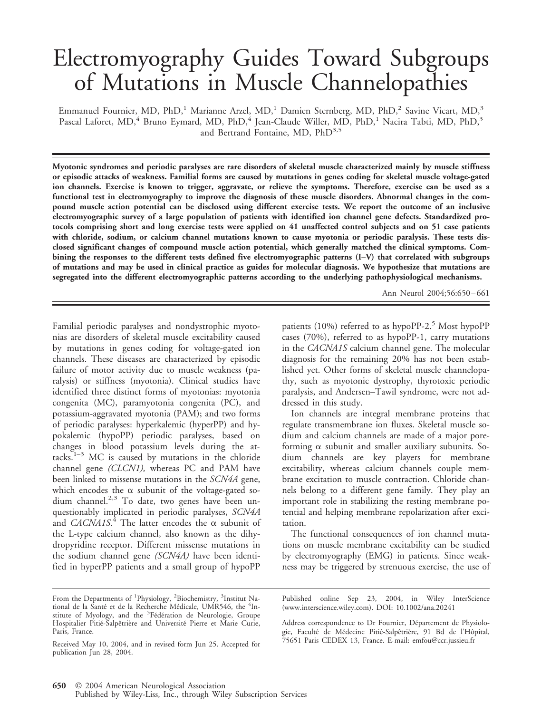# Electromyography Guides Toward Subgroups of Mutations in Muscle Channelopathies

Emmanuel Fournier, MD, PhD,<sup>1</sup> Marianne Arzel, MD,<sup>1</sup> Damien Sternberg, MD, PhD,<sup>2</sup> Savine Vicart, MD,<sup>3</sup> Pascal Laforet, MD,<sup>4</sup> Bruno Eymard, MD, PhD,<sup>4</sup> Jean-Claude Willer, MD, PhD,<sup>1</sup> Nacira Tabti, MD, PhD,<sup>3</sup> and Bertrand Fontaine, MD, PhD<sup>3,5</sup>

**Myotonic syndromes and periodic paralyses are rare disorders of skeletal muscle characterized mainly by muscle stiffness or episodic attacks of weakness. Familial forms are caused by mutations in genes coding for skeletal muscle voltage-gated ion channels. Exercise is known to trigger, aggravate, or relieve the symptoms. Therefore, exercise can be used as a functional test in electromyography to improve the diagnosis of these muscle disorders. Abnormal changes in the compound muscle action potential can be disclosed using different exercise tests. We report the outcome of an inclusive electromyographic survey of a large population of patients with identified ion channel gene defects. Standardized protocols comprising short and long exercise tests were applied on 41 unaffected control subjects and on 51 case patients with chloride, sodium, or calcium channel mutations known to cause myotonia or periodic paralysis. These tests disclosed significant changes of compound muscle action potential, which generally matched the clinical symptoms. Combining the responses to the different tests defined five electromyographic patterns (I–V) that correlated with subgroups of mutations and may be used in clinical practice as guides for molecular diagnosis. We hypothesize that mutations are segregated into the different electromyographic patterns according to the underlying pathophysiological mechanisms.**

Ann Neurol 2004;56:650 – 661

Familial periodic paralyses and nondystrophic myotonias are disorders of skeletal muscle excitability caused by mutations in genes coding for voltage-gated ion channels. These diseases are characterized by episodic failure of motor activity due to muscle weakness (paralysis) or stiffness (myotonia). Clinical studies have identified three distinct forms of myotonias: myotonia congenita (MC), paramyotonia congenita (PC), and potassium-aggravated myotonia (PAM); and two forms of periodic paralyses: hyperkalemic (hyperPP) and hypokalemic (hypoPP) periodic paralyses, based on changes in blood potassium levels during the attacks. $1-3$  MC is caused by mutations in the chloride channel gene *(CLCN1),* whereas PC and PAM have been linked to missense mutations in the *SCN4A* gene, which encodes the  $\alpha$  subunit of the voltage-gated sodium channel.<sup>2,3</sup> To date, two genes have been unquestionably implicated in periodic paralyses, *SCN4A* and *CACNA1S*.<sup> $4$ </sup> The latter encodes the  $\alpha$  subunit of the L-type calcium channel, also known as the dihydropyridine receptor. Different missense mutations in the sodium channel gene *(SCN4A)* have been identified in hyperPP patients and a small group of hypoPP patients (10%) referred to as hypoPP-2.<sup>5</sup> Most hypoPP cases (70%), referred to as hypoPP-1, carry mutations in the *CACNA1S* calcium channel gene. The molecular diagnosis for the remaining 20% has not been established yet. Other forms of skeletal muscle channelopathy, such as myotonic dystrophy, thyrotoxic periodic paralysis, and Andersen–Tawil syndrome, were not addressed in this study.

Ion channels are integral membrane proteins that regulate transmembrane ion fluxes. Skeletal muscle sodium and calcium channels are made of a major poreforming  $\alpha$  subunit and smaller auxiliary subunits. Sodium channels are key players for membrane excitability, whereas calcium channels couple membrane excitation to muscle contraction. Chloride channels belong to a different gene family. They play an important role in stabilizing the resting membrane potential and helping membrane repolarization after excitation.

The functional consequences of ion channel mutations on muscle membrane excitability can be studied by electromyography (EMG) in patients. Since weakness may be triggered by strenuous exercise, the use of

Published online Sep 23, 2004, in Wiley InterScience (www.interscience.wiley.com). DOI: 10.1002/ana.20241

Address correspondence to Dr Fournier, Département de Physiologie, Faculté de Médecine Pitié-Salpêtrière, 91 Bd de l'Hôpital, 75651 Paris CEDEX 13, France. E-mail: emfou@ccr.jussieu.fr

From the Departments of <sup>1</sup>Physiology, <sup>2</sup>Biochemistry, <sup>3</sup>Institut National de la Santé et de la Recherche Médicale, UMR546, the <sup>4</sup>Institute of Myology, and the <sup>5</sup>Fédération de Neurologie, Groupe Hospitalier Pitié-Salpêtrière and Université Pierre et Marie Curie, Paris, France.

Received May 10, 2004, and in revised form Jun 25. Accepted for publication Jun 28, 2004.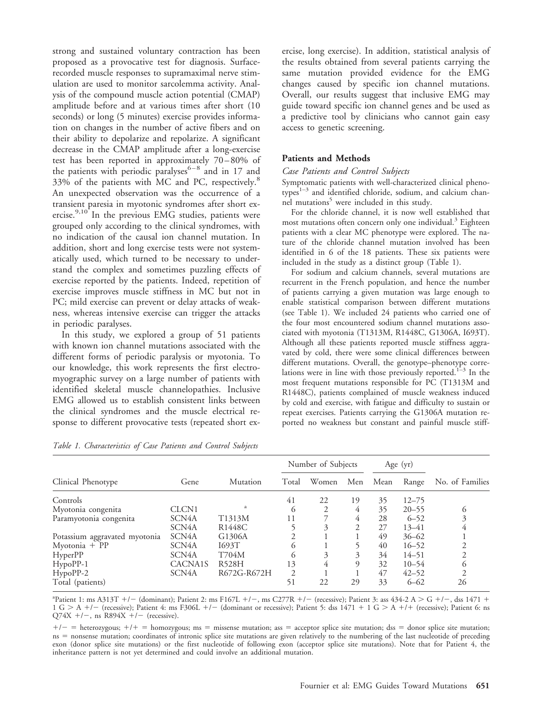strong and sustained voluntary contraction has been proposed as a provocative test for diagnosis. Surfacerecorded muscle responses to supramaximal nerve stimulation are used to monitor sarcolemma activity. Analysis of the compound muscle action potential (CMAP) amplitude before and at various times after short (10 seconds) or long (5 minutes) exercise provides information on changes in the number of active fibers and on their ability to depolarize and repolarize. A significant decrease in the CMAP amplitude after a long-exercise test has been reported in approximately 70 – 80% of the patients with periodic paralyses<sup>6-8</sup> and in 17 and 33% of the patients with MC and PC, respectively.8 An unexpected observation was the occurrence of a transient paresia in myotonic syndromes after short exercise.<sup>9,10</sup> In the previous EMG studies, patients were grouped only according to the clinical syndromes, with no indication of the causal ion channel mutation. In addition, short and long exercise tests were not systematically used, which turned to be necessary to understand the complex and sometimes puzzling effects of exercise reported by the patients. Indeed, repetition of exercise improves muscle stiffness in MC but not in PC; mild exercise can prevent or delay attacks of weakness, whereas intensive exercise can trigger the attacks in periodic paralyses.

In this study, we explored a group of 51 patients with known ion channel mutations associated with the different forms of periodic paralysis or myotonia. To our knowledge, this work represents the first electromyographic survey on a large number of patients with identified skeletal muscle channelopathies. Inclusive EMG allowed us to establish consistent links between the clinical syndromes and the muscle electrical response to different provocative tests (repeated short exercise, long exercise). In addition, statistical analysis of the results obtained from several patients carrying the same mutation provided evidence for the EMG changes caused by specific ion channel mutations. Overall, our results suggest that inclusive EMG may guide toward specific ion channel genes and be used as a predictive tool by clinicians who cannot gain easy access to genetic screening.

## **Patients and Methods**

### *Case Patients and Control Subjects*

Symptomatic patients with well-characterized clinical pheno $t$ ypes<sup>1–3</sup> and identified chloride, sodium, and calcium channel mutations<sup>5</sup> were included in this study.

For the chloride channel, it is now well established that most mutations often concern only one individual.3 Eighteen patients with a clear MC phenotype were explored. The nature of the chloride channel mutation involved has been identified in 6 of the 18 patients. These six patients were included in the study as a distinct group (Table 1).

For sodium and calcium channels, several mutations are recurrent in the French population, and hence the number of patients carrying a given mutation was large enough to enable statistical comparison between different mutations (see Table 1). We included 24 patients who carried one of the four most encountered sodium channel mutations associated with myotonia (T1313M, R1448C, G1306A, I693T). Although all these patients reported muscle stiffness aggravated by cold, there were some clinical differences between different mutations. Overall, the genotype–phenotype correlations were in line with those previously reported.1–3 In the most frequent mutations responsible for PC (T1313M and R1448C), patients complained of muscle weakness induced by cold and exercise, with fatigue and difficulty to sustain or repeat exercises. Patients carrying the G1306A mutation reported no weakness but constant and painful muscle stiff-

|                               |         | Mutation     | Number of Subjects |    |     | Age $(yr)$ |           |                 |  |
|-------------------------------|---------|--------------|--------------------|----|-----|------------|-----------|-----------------|--|
| Clinical Phenotype            | Gene    |              | Total<br>Women     |    | Men | Mean       | Range     | No. of Families |  |
| Controls                      |         |              | 41                 | 22 | 19  | 35         | $12 - 75$ |                 |  |
| Myotonia congenita            | CLCN1   | a            | $\Omega$           |    | 4   | 35         | $20 - 55$ | 6               |  |
| Paramyotonia congenita        | SCN4A   | T1313M       |                    |    | 4   | 28         | $6 - 52$  |                 |  |
|                               | SCN4A   | R1448C       |                    | 3  | 2   | 27         | $13 - 41$ |                 |  |
| Potassium aggravated myotonia | SCN4A   | G1306A       | ↑                  |    |     | 49         | $36 - 62$ |                 |  |
| $Myotonia + PP$               | SCN4A   | I693T        | $^{(1)}$           |    |     | 40         | $16 - 52$ |                 |  |
| HyperPP                       | SCN4A   | T704M        | $\mathfrak{h}$     | 3  | 3   | 34         | $14 - 51$ |                 |  |
| $HypoPP-1$                    | CACNA1S | <b>R528H</b> | 13                 | 4  | 9   | 32         | $10 - 54$ | $\mathfrak{h}$  |  |
| HypoPP-2                      | SCN4A   | R672G-R672H  | 2                  |    |     | 47         | $42 - 52$ |                 |  |
| Total (patients)              |         |              | 51                 | 22 | 29  | 33         | $6 - 62$  | 26              |  |

*Table 1. Characteristics of Case Patients and Control Subjects*

<sup>a</sup>Patient 1: ms A313T +/- (dominant); Patient 2: ms F167L +/-, ms C277R +/- (recessive); Patient 3: ass 434-2 A > G +/-, dss 1471 + 1 G  $>$  A +/– (recessive); Patient 4: ms F306L +/– (dominant or recessive); Patient 5: dss 1471 + 1 G  $>$  A +/+ (recessive); Patient 6: ns  $Q74X$  +/-, ns R894X +/- (recessive).

 $+/-$  = heterozygous;  $+/+$  = homozygous; ms = missense mutation; ass = acceptor splice site mutation; dss = donor splice site mutation; ns = nonsense mutation; coordinates of intronic splice site mutations are given relatively to the numbering of the last nucleotide of preceding exon (donor splice site mutations) or the first nucleotide of following exon (acceptor splice site mutations). Note that for Patient 4, the inheritance pattern is not yet determined and could involve an additional mutation.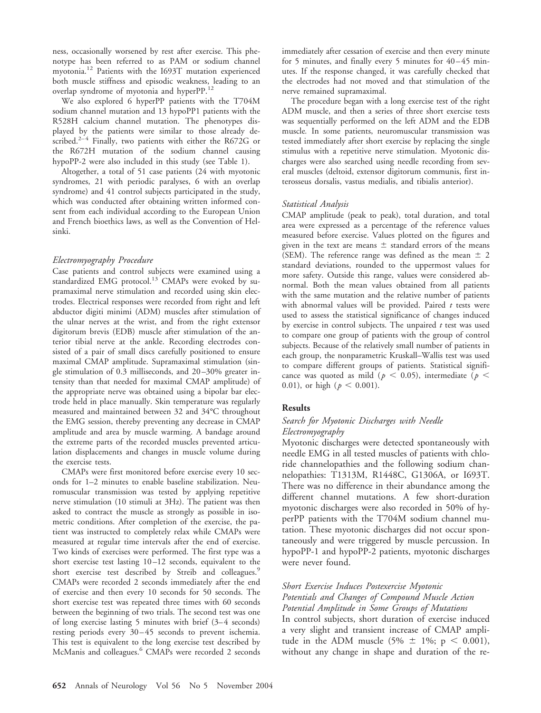ness, occasionally worsened by rest after exercise. This phenotype has been referred to as PAM or sodium channel myotonia.12 Patients with the I693T mutation experienced both muscle stiffness and episodic weakness, leading to an overlap syndrome of myotonia and hyperPP.12

We also explored 6 hyperPP patients with the T704M sodium channel mutation and 13 hypoPP1 patients with the R528H calcium channel mutation. The phenotypes displayed by the patients were similar to those already described.<sup>2–4</sup> Finally, two patients with either the R672G or the R672H mutation of the sodium channel causing hypoPP-2 were also included in this study (see Table 1).

Altogether, a total of 51 case patients (24 with myotonic syndromes, 21 with periodic paralyses, 6 with an overlap syndrome) and 41 control subjects participated in the study, which was conducted after obtaining written informed consent from each individual according to the European Union and French bioethics laws, as well as the Convention of Helsinki.

### *Electromyography Procedure*

Case patients and control subjects were examined using a standardized EMG protocol.<sup>13</sup> CMAPs were evoked by supramaximal nerve stimulation and recorded using skin electrodes. Electrical responses were recorded from right and left abductor digiti minimi (ADM) muscles after stimulation of the ulnar nerves at the wrist, and from the right extensor digitorum brevis (EDB) muscle after stimulation of the anterior tibial nerve at the ankle. Recording electrodes consisted of a pair of small discs carefully positioned to ensure maximal CMAP amplitude. Supramaximal stimulation (single stimulation of 0.3 milliseconds, and 20 –30% greater intensity than that needed for maximal CMAP amplitude) of the appropriate nerve was obtained using a bipolar bar electrode held in place manually. Skin temperature was regularly measured and maintained between 32 and 34°C throughout the EMG session, thereby preventing any decrease in CMAP amplitude and area by muscle warming. A bandage around the extreme parts of the recorded muscles prevented articulation displacements and changes in muscle volume during the exercise tests.

CMAPs were first monitored before exercise every 10 seconds for 1–2 minutes to enable baseline stabilization. Neuromuscular transmission was tested by applying repetitive nerve stimulation (10 stimuli at 3Hz). The patient was then asked to contract the muscle as strongly as possible in isometric conditions. After completion of the exercise, the patient was instructed to completely relax while CMAPs were measured at regular time intervals after the end of exercise. Two kinds of exercises were performed. The first type was a short exercise test lasting 10 –12 seconds, equivalent to the short exercise test described by Streib and colleagues.<sup>9</sup> CMAPs were recorded 2 seconds immediately after the end of exercise and then every 10 seconds for 50 seconds. The short exercise test was repeated three times with 60 seconds between the beginning of two trials. The second test was one of long exercise lasting  $5$  minutes with brief  $(3-4$  seconds) resting periods every 30–45 seconds to prevent ischemia. This test is equivalent to the long exercise test described by McManis and colleagues.<sup>6</sup> CMAPs were recorded 2 seconds

immediately after cessation of exercise and then every minute for 5 minutes, and finally every 5 minutes for  $40-45$  minutes. If the response changed, it was carefully checked that the electrodes had not moved and that stimulation of the nerve remained supramaximal.

The procedure began with a long exercise test of the right ADM muscle, and then a series of three short exercise tests was sequentially performed on the left ADM and the EDB muscle*.* In some patients, neuromuscular transmission was tested immediately after short exercise by replacing the single stimulus with a repetitive nerve stimulation. Myotonic discharges were also searched using needle recording from several muscles (deltoid, extensor digitorum communis, first interosseus dorsalis, vastus medialis, and tibialis anterior).

#### *Statistical Analysis*

CMAP amplitude (peak to peak), total duration, and total area were expressed as a percentage of the reference values measured before exercise. Values plotted on the figures and given in the text are means  $\pm$  standard errors of the means (SEM). The reference range was defined as the mean  $\pm$  2 standard deviations, rounded to the uppermost values for more safety. Outside this range, values were considered abnormal. Both the mean values obtained from all patients with the same mutation and the relative number of patients with abnormal values will be provided. Paired *t* tests were used to assess the statistical significance of changes induced by exercise in control subjects. The unpaired *t* test was used to compare one group of patients with the group of control subjects. Because of the relatively small number of patients in each group, the nonparametric Kruskall–Wallis test was used to compare different groups of patients. Statistical significance was quoted as mild ( $p < 0.05$ ), intermediate ( $p <$ 0.01), or high ( $p < 0.001$ ).

### **Results**

# *Search for Myotonic Discharges with Needle Electromyography*

Myotonic discharges were detected spontaneously with needle EMG in all tested muscles of patients with chloride channelopathies and the following sodium channelopathies: T1313M, R1448C, G1306A, or I693T. There was no difference in their abundance among the different channel mutations. A few short-duration myotonic discharges were also recorded in 50% of hyperPP patients with the T704M sodium channel mutation. These myotonic discharges did not occur spontaneously and were triggered by muscle percussion. In hypoPP-1 and hypoPP-2 patients, myotonic discharges were never found.

### *Short Exercise Induces Postexercise Myotonic*

*Potentials and Changes of Compound Muscle Action Potential Amplitude in Some Groups of Mutations* In control subjects, short duration of exercise induced a very slight and transient increase of CMAP amplitude in the ADM muscle  $(5\% \pm 1\%; p \lt 0.001)$ , without any change in shape and duration of the re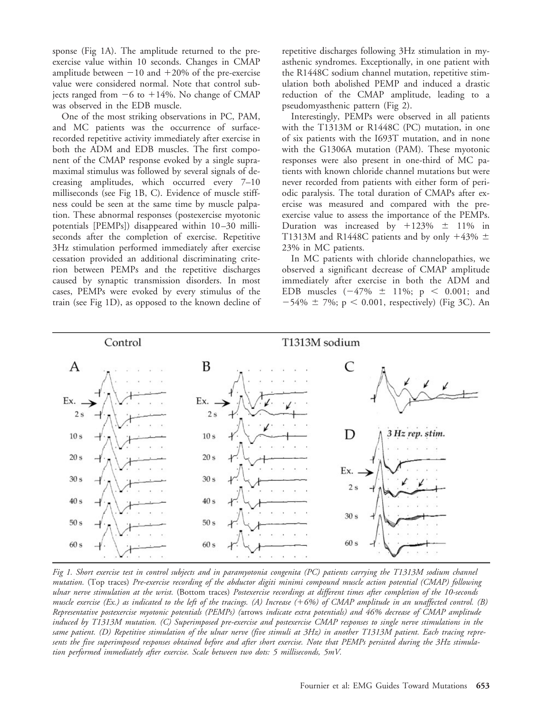sponse (Fig 1A). The amplitude returned to the preexercise value within 10 seconds. Changes in CMAP amplitude between  $-10$  and  $+20\%$  of the pre-exercise value were considered normal. Note that control subjects ranged from  $-6$  to  $+14\%$ . No change of CMAP was observed in the EDB muscle.

One of the most striking observations in PC, PAM, and MC patients was the occurrence of surfacerecorded repetitive activity immediately after exercise in both the ADM and EDB muscles. The first component of the CMAP response evoked by a single supramaximal stimulus was followed by several signals of decreasing amplitudes, which occurred every 7–10 milliseconds (see Fig 1B, C). Evidence of muscle stiffness could be seen at the same time by muscle palpation. These abnormal responses (postexercise myotonic potentials [PEMPs]) disappeared within 10 –30 milliseconds after the completion of exercise. Repetitive 3Hz stimulation performed immediately after exercise cessation provided an additional discriminating criterion between PEMPs and the repetitive discharges caused by synaptic transmission disorders. In most cases, PEMPs were evoked by every stimulus of the train (see Fig 1D), as opposed to the known decline of repetitive discharges following 3Hz stimulation in myasthenic syndromes. Exceptionally, in one patient with the R1448C sodium channel mutation, repetitive stimulation both abolished PEMP and induced a drastic reduction of the CMAP amplitude, leading to a pseudomyasthenic pattern (Fig 2).

Interestingly, PEMPs were observed in all patients with the T1313M or R1448C (PC) mutation, in one of six patients with the I693T mutation, and in none with the G1306A mutation (PAM). These myotonic responses were also present in one-third of MC patients with known chloride channel mutations but were never recorded from patients with either form of periodic paralysis. The total duration of CMAPs after exercise was measured and compared with the preexercise value to assess the importance of the PEMPs. Duration was increased by  $+123\% \pm 11\%$  in T1313M and R1448C patients and by only +43%  $\pm$ 23% in MC patients.

In MC patients with chloride channelopathies, we observed a significant decrease of CMAP amplitude immediately after exercise in both the ADM and EDB muscles  $(-47\% \pm 11\%; p < 0.001;$  and  $-54\% \pm 7\%; p \le 0.001$ , respectively) (Fig 3C). An



*Fig 1. Short exercise test in control subjects and in paramyotonia congenita (PC) patients carrying the T1313M sodium channel mutation.* (Top traces) *Pre-exercise recording of the abductor digiti minimi compound muscle action potential (CMAP) following ulnar nerve stimulation at the wrist.* (Bottom traces) *Postexercise recordings at different times after completion of the 10-seconds muscle exercise (Ex.) as indicated to the left of the tracings. (A) Increase (*-*6%) of CMAP amplitude in an unaffected control. (B) Representative postexercise myotonic potentials (PEMPs) (*arrows *indicate extra potentials) and 46% decrease of CMAP amplitude induced by T1313M mutation. (C) Superimposed pre-exercise and postexercise CMAP responses to single nerve stimulations in the same patient. (D) Repetitive stimulation of the ulnar nerve (five stimuli at 3Hz) in another T1313M patient. Each tracing represents the five superimposed responses obtained before and after short exercise. Note that PEMPs persisted during the 3Hz stimulation performed immediately after exercise. Scale between two dots: 5 milliseconds, 5mV.*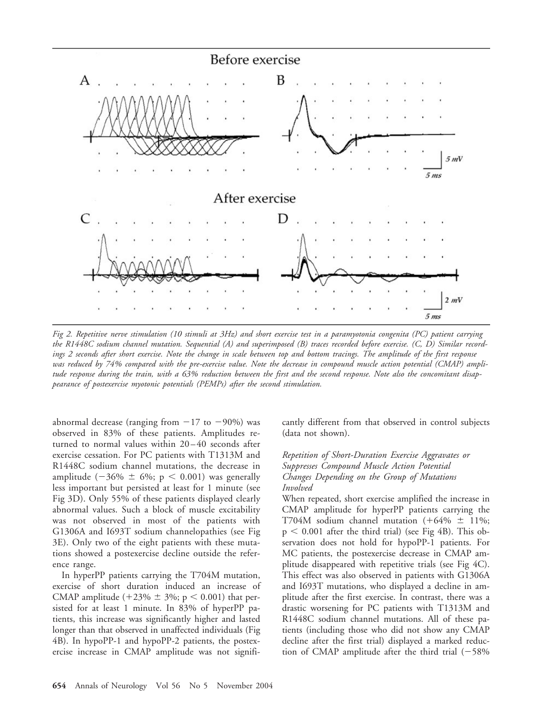

*Fig 2. Repetitive nerve stimulation (10 stimuli at 3Hz) and short exercise test in a paramyotonia congenita (PC) patient carrying the R1448C sodium channel mutation. Sequential (A) and superimposed (B) traces recorded before exercise. (C, D) Similar recordings 2 seconds after short exercise. Note the change in scale between top and bottom tracings. The amplitude of the first response was reduced by 74% compared with the pre-exercise value. Note the decrease in compound muscle action potential (CMAP) amplitude response during the train, with a 63% reduction between the first and the second response. Note also the concomitant disappearance of postexercise myotonic potentials (PEMPs) after the second stimulation.*

abnormal decrease (ranging from  $-17$  to  $-90\%$ ) was observed in 83% of these patients. Amplitudes returned to normal values within 20-40 seconds after exercise cessation. For PC patients with T1313M and R1448C sodium channel mutations, the decrease in amplitude  $(-36\% \pm 6\%; p < 0.001)$  was generally less important but persisted at least for 1 minute (see Fig 3D). Only 55% of these patients displayed clearly abnormal values. Such a block of muscle excitability was not observed in most of the patients with G1306A and I693T sodium channelopathies (see Fig 3E). Only two of the eight patients with these mutations showed a postexercise decline outside the reference range.

In hyperPP patients carrying the T704M mutation, exercise of short duration induced an increase of CMAP amplitude  $(+23\% \pm 3\%; p < 0.001)$  that persisted for at least 1 minute. In 83% of hyperPP patients, this increase was significantly higher and lasted longer than that observed in unaffected individuals (Fig 4B). In hypoPP-1 and hypoPP-2 patients, the postexercise increase in CMAP amplitude was not significantly different from that observed in control subjects (data not shown).

*Repetition of Short-Duration Exercise Aggravates or Suppresses Compound Muscle Action Potential Changes Depending on the Group of Mutations Involved*

When repeated, short exercise amplified the increase in CMAP amplitude for hyperPP patients carrying the T704M sodium channel mutation  $(+64\% \pm 11\%$ ;  $p < 0.001$  after the third trial) (see Fig 4B). This observation does not hold for hypoPP-1 patients. For MC patients, the postexercise decrease in CMAP amplitude disappeared with repetitive trials (see Fig 4C). This effect was also observed in patients with G1306A and I693T mutations, who displayed a decline in amplitude after the first exercise. In contrast, there was a drastic worsening for PC patients with T1313M and R1448C sodium channel mutations. All of these patients (including those who did not show any CMAP decline after the first trial) displayed a marked reduction of CMAP amplitude after the third trial  $(-58\%$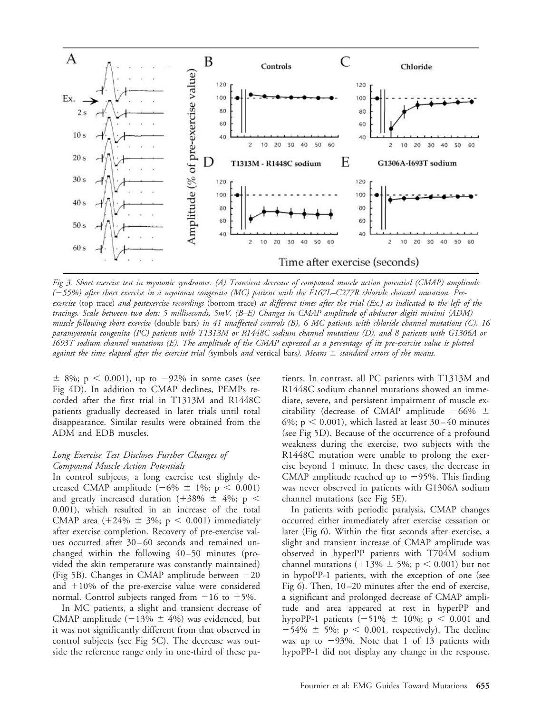

*Fig 3. Short exercise test in myotonic syndromes. (A) Transient decrease of compound muscle action potential (CMAP) amplitude (55%) after short exercise in a myotonia congenita (MC) patient with the F167L–C277R chloride channel mutation. Preexercise* (top trace) *and postexercise recordings* (bottom trace) *at different times after the trial (Ex.) as indicated to the left of the tracings. Scale between two dots: 5 milliseconds, 5mV. (B–E) Changes in CMAP amplitude of abductor digiti minimi (ADM) muscle following short exercise* (double bars) *in 41 unaffected controls (B), 6 MC patients with chloride channel mutations (C), 16 paramyotonia congenita (PC) patients with T1313M or R1448C sodium channel mutations (D), and 8 patients with G1306A or I693T sodium channel mutations (E). The amplitude of the CMAP expressed as a percentage of its pre-exercise value is plotted against the time elapsed after the exercise trial (*symbols *and* vertical bars*). Means standard errors of the means.*

 $\pm$  8%; p < 0.001), up to -92% in some cases (see Fig 4D). In addition to CMAP declines, PEMPs recorded after the first trial in T1313M and R1448C patients gradually decreased in later trials until total disappearance. Similar results were obtained from the ADM and EDB muscles.

## *Long Exercise Test Discloses Further Changes of Compound Muscle Action Potentials*

In control subjects, a long exercise test slightly decreased CMAP amplitude  $(-6\% \pm 1\%; p < 0.001)$ and greatly increased duration (+38%  $\pm$  4%; p  $<$ 0.001), which resulted in an increase of the total CMAP area (+24%  $\pm$  3%; p < 0.001) immediately after exercise completion. Recovery of pre-exercise values occurred after 30-60 seconds and remained unchanged within the following 40-50 minutes (provided the skin temperature was constantly maintained) (Fig 5B). Changes in CMAP amplitude between  $-20$ and +10% of the pre-exercise value were considered normal. Control subjects ranged from  $-16$  to  $+5\%$ .

In MC patients, a slight and transient decrease of CMAP amplitude  $(-13\% \pm 4\%)$  was evidenced, but it was not significantly different from that observed in control subjects (see Fig 5C). The decrease was outside the reference range only in one-third of these patients. In contrast, all PC patients with T1313M and R1448C sodium channel mutations showed an immediate, severe, and persistent impairment of muscle excitability (decrease of CMAP amplitude  $-66\% \pm$ 6%;  $p < 0.001$ ), which lasted at least 30–40 minutes (see Fig 5D). Because of the occurrence of a profound weakness during the exercise, two subjects with the R1448C mutation were unable to prolong the exercise beyond 1 minute. In these cases, the decrease in CMAP amplitude reached up to  $-95%$ . This finding was never observed in patients with G1306A sodium channel mutations (see Fig 5E).

In patients with periodic paralysis, CMAP changes occurred either immediately after exercise cessation or later (Fig 6). Within the first seconds after exercise, a slight and transient increase of CMAP amplitude was observed in hyperPP patients with T704M sodium channel mutations  $(+13\% \pm 5\%; p < 0.001)$  but not in hypoPP-1 patients, with the exception of one (see Fig 6). Then, 10 –20 minutes after the end of exercise, a significant and prolonged decrease of CMAP amplitude and area appeared at rest in hyperPP and hypoPP-1 patients  $(-51\% \pm 10\%; p < 0.001$  and  $-54\% \pm 5\%; p \leq 0.001$ , respectively). The decline was up to  $-93\%$ . Note that 1 of 13 patients with hypoPP-1 did not display any change in the response.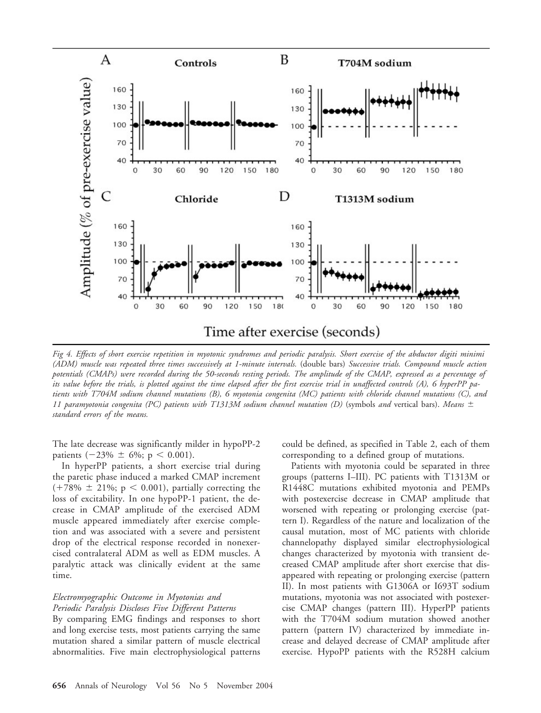

*Fig 4. Effects of short exercise repetition in myotonic syndromes and periodic paralysis. Short exercise of the abductor digiti minimi (ADM) muscle was repeated three times successively at 1-minute intervals.* (double bars) *Successive trials. Compound muscle action potentials (CMAPs) were recorded during the 50-seconds resting periods. The amplitude of the CMAP, expressed as a percentage of its value before the trials, is plotted against the time elapsed after the first exercise trial in unaffected controls (A), 6 hyperPP patients with T704M sodium channel mutations (B), 6 myotonia congenita (MC) patients with chloride channel mutations (C), and 11 paramyotonia congenita (PC) patients with T1313M sodium channel mutation (D)* (symbols *and* vertical bars). *Means standard errors of the means.*

The late decrease was significantly milder in hypoPP-2 patients  $(-23\% \pm 6\%; p < 0.001)$ .

In hyperPP patients, a short exercise trial during the paretic phase induced a marked CMAP increment  $(+78\% \pm 21\%; p < 0.001)$ , partially correcting the loss of excitability. In one hypoPP-1 patient, the decrease in CMAP amplitude of the exercised ADM muscle appeared immediately after exercise completion and was associated with a severe and persistent drop of the electrical response recorded in nonexercised contralateral ADM as well as EDM muscles. A paralytic attack was clinically evident at the same time.

# *Electromyographic Outcome in Myotonias and Periodic Paralysis Discloses Five Different Patterns*

By comparing EMG findings and responses to short and long exercise tests, most patients carrying the same mutation shared a similar pattern of muscle electrical abnormalities. Five main electrophysiological patterns

could be defined, as specified in Table 2, each of them corresponding to a defined group of mutations.

Patients with myotonia could be separated in three groups (patterns I–III). PC patients with T1313M or R1448C mutations exhibited myotonia and PEMPs with postexercise decrease in CMAP amplitude that worsened with repeating or prolonging exercise (pattern I). Regardless of the nature and localization of the causal mutation, most of MC patients with chloride channelopathy displayed similar electrophysiological changes characterized by myotonia with transient decreased CMAP amplitude after short exercise that disappeared with repeating or prolonging exercise (pattern II). In most patients with G1306A or I693T sodium mutations, myotonia was not associated with postexercise CMAP changes (pattern III). HyperPP patients with the T704M sodium mutation showed another pattern (pattern IV) characterized by immediate increase and delayed decrease of CMAP amplitude after exercise. HypoPP patients with the R528H calcium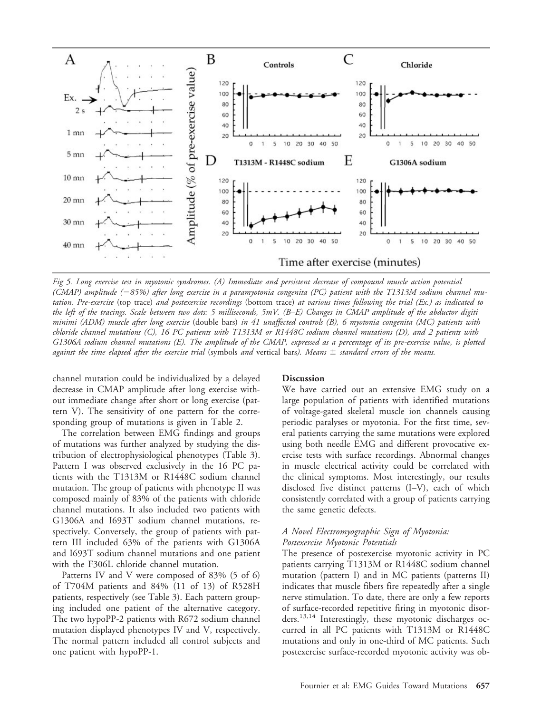

*Fig 5. Long exercise test in myotonic syndromes. (A) Immediate and persistent decrease of compound muscle action potential (CMAP) amplitude (85%) after long exercise in a paramyotonia congenita (PC) patient with the T1313M sodium channel mutation. Pre-exercise* (top trace) *and postexercise recordings* (bottom trace) *at various times following the trial (Ex.) as indicated to the left of the tracings. Scale between two dots: 5 milliseconds, 5mV. (B–E) Changes in CMAP amplitude of the abductor digiti minimi (ADM) muscle after long exercise* (double bars) *in 41 unaffected controls (B), 6 myotonia congenita (MC) patients with chloride channel mutations (C), 16 PC patients with T1313M or R1448C sodium channel mutations (D), and 2 patients with G1306A sodium channel mutations (E). The amplitude of the CMAP, expressed as a percentage of its pre-exercise value, is plotted against the time elapsed after the exercise trial* (symbols *and* vertical bars*). Means standard errors of the means.*

channel mutation could be individualized by a delayed decrease in CMAP amplitude after long exercise without immediate change after short or long exercise (pattern V). The sensitivity of one pattern for the corresponding group of mutations is given in Table 2.

The correlation between EMG findings and groups of mutations was further analyzed by studying the distribution of electrophysiological phenotypes (Table 3). Pattern I was observed exclusively in the 16 PC patients with the T1313M or R1448C sodium channel mutation. The group of patients with phenotype II was composed mainly of 83% of the patients with chloride channel mutations. It also included two patients with G1306A and I693T sodium channel mutations, respectively. Conversely, the group of patients with pattern III included 63% of the patients with G1306A and I693T sodium channel mutations and one patient with the F306L chloride channel mutation.

Patterns IV and V were composed of 83% (5 of 6) of T704M patients and 84% (11 of 13) of R528H patients, respectively (see Table 3). Each pattern grouping included one patient of the alternative category. The two hypoPP-2 patients with R672 sodium channel mutation displayed phenotypes IV and V, respectively. The normal pattern included all control subjects and one patient with hypoPP-1.

### **Discussion**

We have carried out an extensive EMG study on a large population of patients with identified mutations of voltage-gated skeletal muscle ion channels causing periodic paralyses or myotonia. For the first time, several patients carrying the same mutations were explored using both needle EMG and different provocative exercise tests with surface recordings. Abnormal changes in muscle electrical activity could be correlated with the clinical symptoms. Most interestingly, our results disclosed five distinct patterns (I–V), each of which consistently correlated with a group of patients carrying the same genetic defects.

# *A Novel Electromyographic Sign of Myotonia: Postexercise Myotonic Potentials*

The presence of postexercise myotonic activity in PC patients carrying T1313M or R1448C sodium channel mutation (pattern I) and in MC patients (patterns II) indicates that muscle fibers fire repeatedly after a single nerve stimulation. To date, there are only a few reports of surface-recorded repetitive firing in myotonic disorders.13,14 Interestingly, these myotonic discharges occurred in all PC patients with T1313M or R1448C mutations and only in one-third of MC patients. Such postexercise surface-recorded myotonic activity was ob-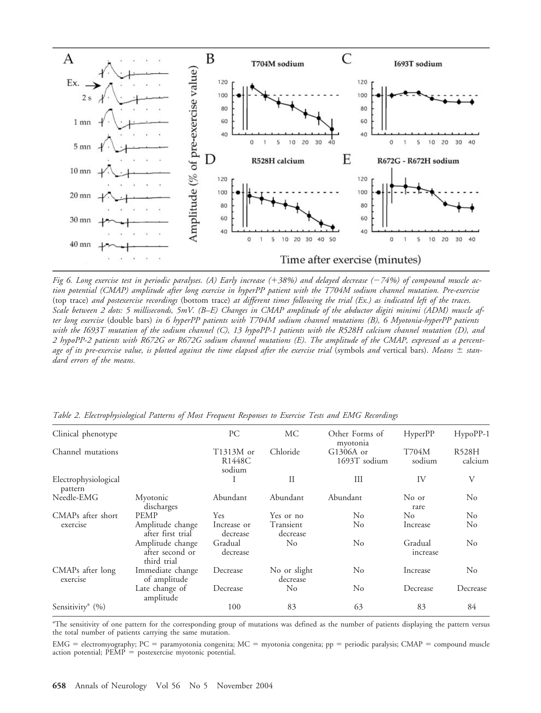

*Fig 6. Long exercise test in periodic paralyses. (A) Early increase (*-*38%) and delayed decrease (74%) of compound muscle action potential (CMAP) amplitude after long exercise in hyperPP patient with the T704M sodium channel mutation. Pre-exercise* (top trace) *and postexercise recordings* (bottom trace) *at different times following the trial (Ex.) as indicated left of the traces. Scale between 2 dots: 5 milliseconds, 5mV. (B–E) Changes in CMAP amplitude of the abductor digiti minimi (ADM) muscle after long exercise* (double bars) *in 6 hyperPP patients with T704M sodium channel mutations (B), 6 Myotonia-hyperPP patients with the I693T mutation of the sodium channel (C), 13 hypoPP-1 patients with the R528H calcium channel mutation (D), and 2 hypoPP-2 patients with R672G or R672G sodium channel mutations (E). The amplitude of the CMAP, expressed as a percentage of its pre-exercise value, is plotted against the time elapsed after the exercise trial* (symbols *and* vertical bars). *Means standard errors of the means.*

| Clinical phenotype               |                                                    | PС                              | МC                       | Other Forms of<br>myotonia | HyperPP             | $HypoPP-1$       |
|----------------------------------|----------------------------------------------------|---------------------------------|--------------------------|----------------------------|---------------------|------------------|
| Channel mutations                |                                                    | $T1313M$ or<br>R1448C<br>sodium | Chloride                 | G1306A or<br>1693T sodium  | T704M<br>sodium     | R528H<br>calcium |
| Electrophysiological<br>pattern  |                                                    |                                 | Н                        | Ш                          | IV                  | V                |
| Needle-EMG                       | Myotonic<br>discharges                             | Abundant                        | Abundant                 | Abundant                   | No or<br>rare       | No               |
| CMAPs after short                | <b>PEMP</b>                                        | Yes.                            | Yes or no                | $\rm No$                   | $\rm No$            | No               |
| exercise                         | Amplitude change<br>after first trial              | Increase or<br>decrease         | Transient<br>decrease    | $\rm No$                   | Increase            | No               |
|                                  | Amplitude change<br>after second or<br>third trial | Gradual<br>decrease             | N <sub>0</sub>           | $\rm No$                   | Gradual<br>increase | No               |
| CMAPs after long<br>exercise     | Immediate change<br>of amplitude                   | Decrease                        | No or slight<br>decrease | $\rm No$                   | Increase            | No               |
|                                  | Late change of<br>amplitude                        | Decrease                        | No                       | $\rm No$                   | Decrease            | Decrease         |
| Sensitivity <sup>a</sup> $(\% )$ |                                                    | 100                             | 83                       | 63                         | 83                  | 84               |

*Table 2. Electrophysiological Patterns of Most Frequent Responses to Exercise Tests and EMG Recordings*

a The sensitivity of one pattern for the corresponding group of mutations was defined as the number of patients displaying the pattern versus the total number of patients carrying the same mutation.

 $EMG =$  electromyography; PC = paramyotonia congenita; MC = myotonia congenita; pp = periodic paralysis; CMAP = compound muscle action potential;  $PEMP = postexercise myotonic potential.$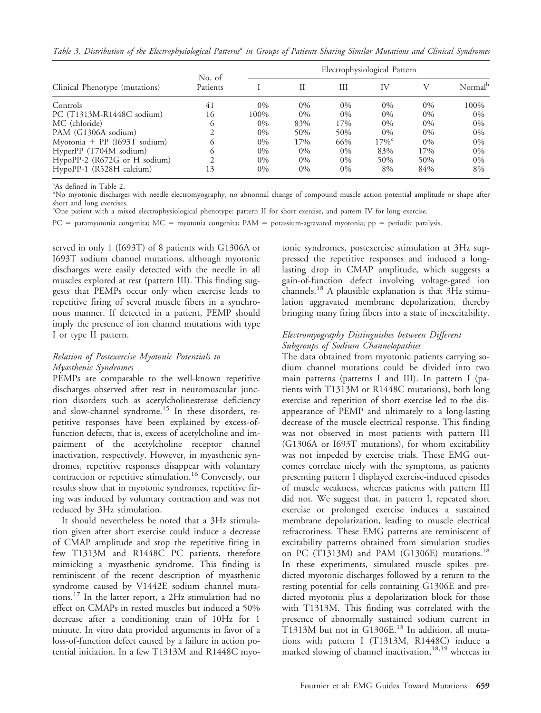*Table 3. Distribution of the Electrophysiological Patternsa in Groups of Patients Sharing Similar Mutations and Clinical Syndromes*

|                                        |                    | Electrophysiological Pattern |       |       |                |       |                     |  |
|----------------------------------------|--------------------|------------------------------|-------|-------|----------------|-------|---------------------|--|
| Clinical Phenotype (mutations)         | No. of<br>Patients |                              | Н     | Ш     | IV             |       | Normal <sup>b</sup> |  |
| Controls                               | 41                 | $0\%$                        | $0\%$ | $0\%$ | $0\%$          | $0\%$ | 100%                |  |
| PC (T1313M-R1448C sodium)              | 16                 | 100%                         | $0\%$ | $0\%$ | $0\%$          | $0\%$ | $0\%$               |  |
| MC (chloride)                          | $\mathfrak{h}$     | $0\%$                        | 83%   | 17%   | $0\%$          | $0\%$ | $0\%$               |  |
| PAM (G1306A sodium)                    |                    | $0\%$                        | 50%   | 50%   | $0\%$          | $0\%$ | $0\%$               |  |
| Myotonia + PP $(I693T \text{ sodium})$ |                    | $0\%$                        | 17%   | 66%   | $17\%^{\circ}$ | $0\%$ | $0\%$               |  |
| HyperPP (T704M sodium)                 |                    | $0\%$                        | $0\%$ | $0\%$ | 83%            | 17%   | $0\%$               |  |
| HypoPP-2 (R672G or H sodium)           |                    | $0\%$                        | $0\%$ | $0\%$ | 50%            | 50%   | $0\%$               |  |
| HypoPP-1 (R528H calcium)               | 13                 | $0\%$                        | $0\%$ | $0\%$ | 8%             | 84%   | 8%                  |  |

<sup>a</sup>As defined in Table 2.<br><sup>b</sup>No myotonic discharges with needle electromyography, no abnormal change of compound muscle action potential amplitude or shape after short and long exercises.

c One patient with a mixed electrophysiological phenotype: pattern II for short exercise, and pattern IV for long exercise.

 $PC =$  paramyotonia congenita; MC = myotonia congenita; PAM = potassium-agravated myotonia; pp = periodic paralysis.

served in only 1 (I693T) of 8 patients with G1306A or I693T sodium channel mutations, although myotonic discharges were easily detected with the needle in all muscles explored at rest (pattern III). This finding suggests that PEMPs occur only when exercise leads to repetitive firing of several muscle fibers in a synchronous manner. If detected in a patient, PEMP should imply the presence of ion channel mutations with type I or type II pattern.

# *Relation of Postexercise Myotonic Potentials to Myasthenic Syndromes*

PEMPs are comparable to the well-known repetitive discharges observed after rest in neuromuscular junction disorders such as acetylcholinesterase deficiency and slow-channel syndrome.<sup>15</sup> In these disorders, repetitive responses have been explained by excess-offunction defects, that is, excess of acetylcholine and impairment of the acetylcholine receptor channel inactivation, respectively. However, in myasthenic syndromes, repetitive responses disappear with voluntary contraction or repetitive stimulation.<sup>16</sup> Conversely, our results show that in myotonic syndromes, repetitive firing was induced by voluntary contraction and was not reduced by 3Hz stimulation.

It should nevertheless be noted that a 3Hz stimulation given after short exercise could induce a decrease of CMAP amplitude and stop the repetitive firing in few T1313M and R1448C PC patients, therefore mimicking a myasthenic syndrome. This finding is reminiscent of the recent description of myasthenic syndrome caused by V1442E sodium channel mutations.17 In the latter report, a 2Hz stimulation had no effect on CMAPs in rested muscles but induced a 50% decrease after a conditioning train of 10Hz for 1 minute. In vitro data provided arguments in favor of a loss-of-function defect caused by a failure in action potential initiation. In a few T1313M and R1448C myotonic syndromes, postexercise stimulation at 3Hz suppressed the repetitive responses and induced a longlasting drop in CMAP amplitude, which suggests a gain-of-function defect involving voltage-gated ion channels.18 A plausible explanation is that 3Hz stimulation aggravated membrane depolarization, thereby bringing many firing fibers into a state of inexcitability.

# *Electromyography Distinguishes between Different Subgroups of Sodium Channelopathies*

The data obtained from myotonic patients carrying sodium channel mutations could be divided into two main patterns (patterns I and III). In pattern I (patients with T1313M or R1448C mutations), both long exercise and repetition of short exercise led to the disappearance of PEMP and ultimately to a long-lasting decrease of the muscle electrical response. This finding was not observed in most patients with pattern III (G1306A or I693T mutations), for whom excitability was not impeded by exercise trials. These EMG outcomes correlate nicely with the symptoms, as patients presenting pattern I displayed exercise-induced episodes of muscle weakness, whereas patients with pattern III did not. We suggest that, in pattern I, repeated short exercise or prolonged exercise induces a sustained membrane depolarization, leading to muscle electrical refractoriness. These EMG patterns are reminiscent of excitability patterns obtained from simulation studies on PC (T1313M) and PAM (G1306E) mutations.<sup>18</sup> In these experiments, simulated muscle spikes predicted myotonic discharges followed by a return to the resting potential for cells containing G1306E and predicted myotonia plus a depolarization block for those with T1313M. This finding was correlated with the presence of abnormally sustained sodium current in T1313M but not in G1306E.<sup>18</sup> In addition, all mutations with pattern I (T1313M, R1448C) induce a marked slowing of channel inactivation,<sup>18,19</sup> whereas in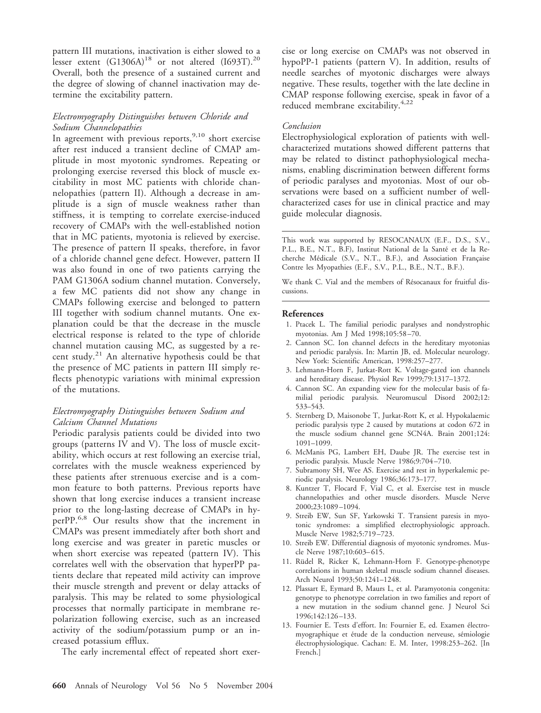pattern III mutations, inactivation is either slowed to a lesser extent  $(G1306A)^{18}$  or not altered  $(I693T).^{20}$ Overall, both the presence of a sustained current and the degree of slowing of channel inactivation may determine the excitability pattern.

# *Electromyography Distinguishes between Chloride and Sodium Channelopathies*

In agreement with previous reports,  $9,10$  short exercise after rest induced a transient decline of CMAP amplitude in most myotonic syndromes. Repeating or prolonging exercise reversed this block of muscle excitability in most MC patients with chloride channelopathies (pattern II). Although a decrease in amplitude is a sign of muscle weakness rather than stiffness, it is tempting to correlate exercise-induced recovery of CMAPs with the well-established notion that in MC patients, myotonia is relieved by exercise. The presence of pattern II speaks, therefore, in favor of a chloride channel gene defect. However, pattern II was also found in one of two patients carrying the PAM G1306A sodium channel mutation. Conversely, a few MC patients did not show any change in CMAPs following exercise and belonged to pattern III together with sodium channel mutants. One explanation could be that the decrease in the muscle electrical response is related to the type of chloride channel mutation causing MC, as suggested by a recent study.<sup>21</sup> An alternative hypothesis could be that the presence of MC patients in pattern III simply reflects phenotypic variations with minimal expression of the mutations.

# *Electromyography Distinguishes between Sodium and Calcium Channel Mutations*

Periodic paralysis patients could be divided into two groups (patterns IV and V). The loss of muscle excitability, which occurs at rest following an exercise trial, correlates with the muscle weakness experienced by these patients after strenuous exercise and is a common feature to both patterns. Previous reports have shown that long exercise induces a transient increase prior to the long-lasting decrease of CMAPs in hyperPP.6,8 Our results show that the increment in CMAPs was present immediately after both short and long exercise and was greater in paretic muscles or when short exercise was repeated (pattern IV). This correlates well with the observation that hyperPP patients declare that repeated mild activity can improve their muscle strength and prevent or delay attacks of paralysis. This may be related to some physiological processes that normally participate in membrane repolarization following exercise, such as an increased activity of the sodium/potassium pump or an increased potassium efflux.

The early incremental effect of repeated short exer-

cise or long exercise on CMAPs was not observed in hypoPP-1 patients (pattern V). In addition, results of needle searches of myotonic discharges were always negative. These results, together with the late decline in CMAP response following exercise, speak in favor of a reduced membrane excitability.<sup>4,22</sup>

#### *Conclusion*

Electrophysiological exploration of patients with wellcharacterized mutations showed different patterns that may be related to distinct pathophysiological mechanisms, enabling discrimination between different forms of periodic paralyses and myotonias. Most of our observations were based on a sufficient number of wellcharacterized cases for use in clinical practice and may guide molecular diagnosis.

This work was supported by RESOCANAUX (E.F., D.S., S.V., P.L., B.E., N.T., B.F), Institut National de la Santé et de la Recherche Médicale (S.V., N.T., B.F.), and Association Française Contre les Myopathies (E.F., S.V., P.L., B.E., N.T., B.F.).

We thank C. Vial and the members of Résocanaux for fruitful discussions.

#### **References**

- 1. Ptacek L. The familial periodic paralyses and nondystrophic myotonias. Am J Med 1998;105:58 –70.
- 2. Cannon SC. Ion channel defects in the hereditary myotonias and periodic paralysis. In: Martin JB, ed. Molecular neurology. New York: Scientific American, 1998:257–277.
- 3. Lehmann-Horn F, Jurkat-Rott K. Voltage-gated ion channels and hereditary disease. Physiol Rev 1999;79:1317–1372.
- 4. Cannon SC. An expanding view for the molecular basis of familial periodic paralysis. Neuromuscul Disord 2002;12: 533–543.
- 5. Sternberg D, Maisonobe T, Jurkat-Rott K, et al. Hypokalaemic periodic paralysis type 2 caused by mutations at codon 672 in the muscle sodium channel gene SCN4A. Brain 2001;124: 1091–1099.
- 6. McManis PG, Lambert EH, Daube JR. The exercise test in periodic paralysis. Muscle Nerve 1986;9:704 –710.
- 7. Subramony SH, Wee AS. Exercise and rest in hyperkalemic periodic paralysis. Neurology 1986;36:173–177.
- 8. Kuntzer T, Flocard F, Vial C, et al. Exercise test in muscle channelopathies and other muscle disorders. Muscle Nerve 2000;23:1089 –1094.
- 9. Streib EW, Sun SF, Yarkowski T. Transient paresis in myotonic syndromes: a simplified electrophysiologic approach. Muscle Nerve 1982;5:719 –723.
- 10. Streib EW. Differential diagnosis of myotonic syndromes. Muscle Nerve 1987;10:603– 615.
- 11. Rüdel R, Ricker K, Lehmann-Horn F. Genotype-phenotype correlations in human skeletal muscle sodium channel diseases. Arch Neurol 1993;50:1241–1248.
- 12. Plassart E, Eymard B, Maurs L, et al. Paramyotonia congenita: genotype to phenotype correlation in two families and report of a new mutation in the sodium channel gene. J Neurol Sci 1996;142:126 –133.
- 13. Fournier E. Tests d'effort. In: Fournier E, ed. Examen électromyographique et étude de la conduction nerveuse, sémiologie électrophysiologique. Cachan: E. M. Inter, 1998:253-262. [In French.]